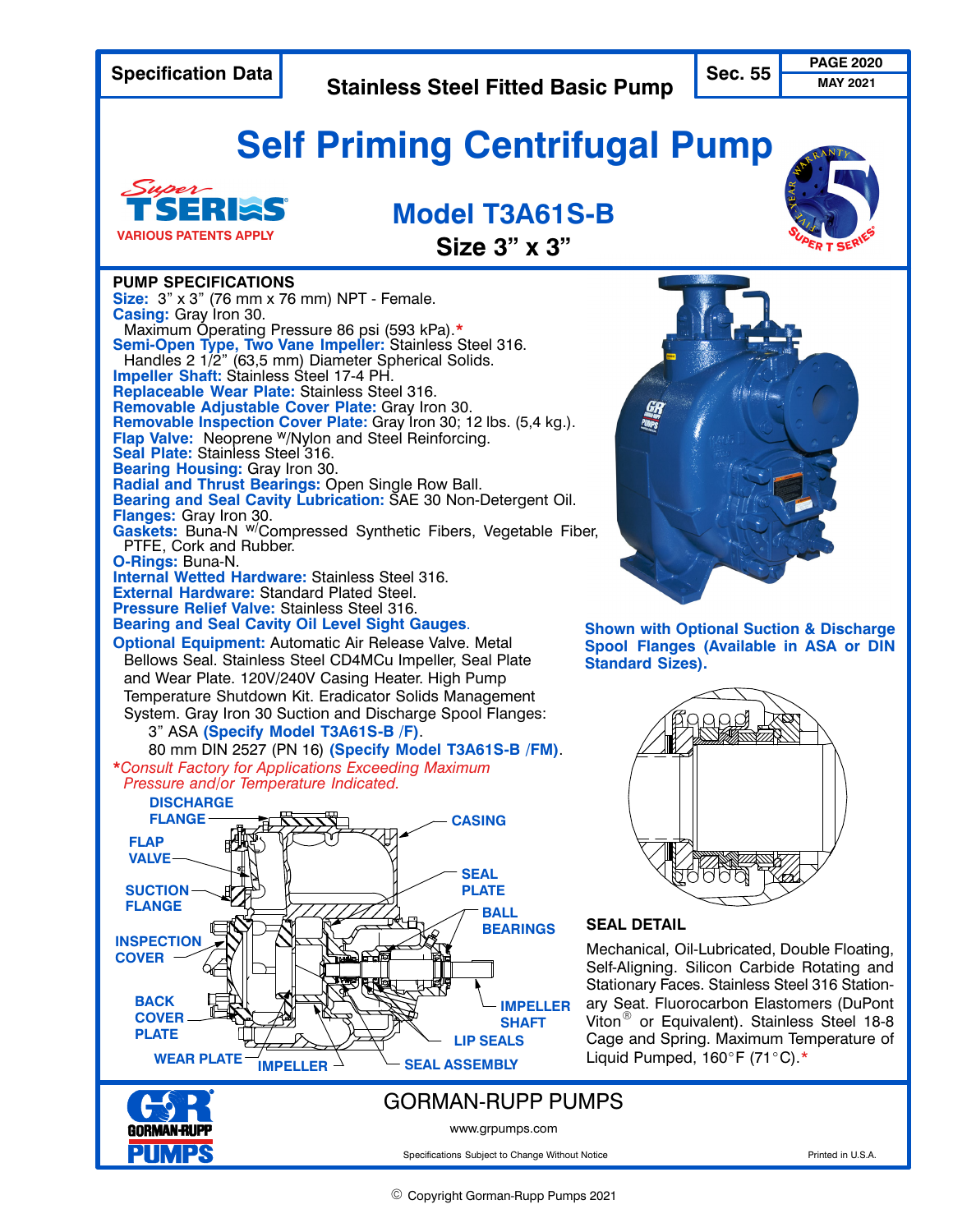**Specification Data** *PAGE 2020* **Self Priming Centrifugal Pump Model T3A61S‐B Size 3" x 3" SEAL DETAIL** Mechanical, Oil‐Lubricated, Double Floating, Self‐Aligning. Silicon Carbide Rotating and Stationary Faces. Stainless Steel 316 Stationary Seat. Fluorocarbon Elastomers (DuPont Viton<sup>®</sup> or Equivalent). Stainless Steel 18-8 Cage and Spring. Maximum Temperature of Liquid Pumped,  $160^{\circ}$ F (71°C).\* **Stainless Steel Fitted Basic Pump PUMP SPECIFICATIONS Size:** 3" x 3" (76 mm x 76 mm) NPT ‐ Female. Casing: Gray Iron 30.<br>Maximum Operating Pressure 86 psi (593 kPa).\* Maximum Operating Pressure 86 psi (593 kPa).**\* Semi‐Open Type, Two Vane Impeller:** Stainless Steel 316. Handles 2 1/2" (63,5 mm) Diameter Spherical Solids. **Impeller Shaft:** Stainless Steel 17‐4 PH. **Replaceable Wear Plate:** Stainless Steel 316. **Removable Adjustable Cover Plate:** Gray Iron 30. **Removable Inspection Cover Plate:** Gray Iron 30; 12 lbs. (5,4 kg.). **Flap Valve:** Neoprene w/Nylon and Steel Reinforcing. **Seal Plate:** Stainless Steel 316. **Bearing Housing:** Gray Iron 30. **Radial and Thrust Bearings:** Open Single Row Ball. **Bearing and Seal Cavity Lubrication:** SAE 30 Non‐Detergent Oil. **Flanges:** Gray Iron 30. Gaskets: Buna-N <sup>w/</sup>Compressed Synthetic Fibers, Vegetable Fiber, PTFE, Cork and Rubber. **O‐Rings:** Buna‐N. **Internal Wetted Hardware:** Stainless Steel 316. **External Hardware:** Standard Plated Steel. **Pressure Relief Valve:** Stainless Steel 316. **Bearing and Seal Cavity Oil Level Sight Gauges**. **Optional Equipment:** Automatic Air Release Valve. Metal Bellows Seal. Stainless Steel CD4MCu Impeller, Seal Plate and Wear Plate. 120V/240V Casing Heater. High Pump Temperature Shutdown Kit. Eradicator Solids Management System. Gray Iron 30 Suction and Discharge Spool Flanges: 3" ASA **(Specify Model T3A61S‐B /F)**. 80 mm DIN 2527 (PN 16) **(Specify Model T3A61S‐B /FM)**. **\****Consult Factory for Applications Exceeding Maximum Pressure and/or Temperature Indicated.* **MAY 2021 Shown with Optional Suction & Discharge Spool Flanges (Available in ASA or DIN Standard Sizes). VARIOUS PATENTS APPLY** GORMAN‐RUPP PUMPS www.grpumps.com Specifications Subject to Change Without Notice **Prince Access 2016** Printed in U.S.A. ÏÏÏÏÏÏÏ ÏÏÏÏÏÏÏ  $\sim$ Ï  $\blacksquare$ ÏÏÏÏÏÏ ÏÏÏÏÏÏ **PLATE** ÏÏÏÏÏÏ /WINDOWS//  $\cdots$   $\cdots$ II. IN INSTRUMENT AND IN IT IS NOT THE INTERNATIONAL INCOME. IN IT IS NOT THE INCOME. <u>i</u> ÎÎÎÎ **IMPELLER BEARINGS** ÎÎÎÎÎÎÎÎÎÎÎ ARANA ARANA ARANA ARANA A LITAR FINANCIA A LITAR FINANCIA A LITAR FINANCIA A LITAR FINANCIA A LITA  $\blacksquare$ EÎÎÎÎÎ  $\sim$  real property of  $\sim$  $\blacksquare$ Ï  $\frac{1}{2}$ ÏÏ ÏÏ ZI CELESTINO V <u>rando de serio de la conte</u> ÇÇ ÎÎÑÇÇÎÎ **Î** ÌÇÎÎ ÌÌÌÌ ÇÇÇÇ ÏÏ ÏÏ Ï  $\blacksquare$  $\sim$   $\sim$   $\sim$   $\sim$   $\sim$   $\sim$   $\sim$ **C ENLA** COMPANY ÌÌÌÎ <u>in Nijeriya</u> E J Ï in the contract of the contract of the contract of the contract of the contract of the contract of the contract of the contract of the contract of the contract of the contract of the contract of the contract of the contrac ÇÇ  $\frac{1}{\sqrt{2}}$ <u>an ili sebagai dan sebagai dan sebagai dan sebagai dan sebagai dan sebagai dan sebagai dan sebagai dan sebagai </u> A IÞI I **IMPELLER SHAFT DISCHARGE FLANGE SUCTION FLANGE FLAP VALVE CASING SEAL BALL LIP SEALS** WEAR PLATE  $\frac{1}{\sqrt{M}}$  in Fig.  $\frac{1}{\sqrt{M}}$  SEAL ASSEMBLY **INSPECTION COVER BACK COVER PLATE**

© Copyright Gorman-Rupp Pumps 2021